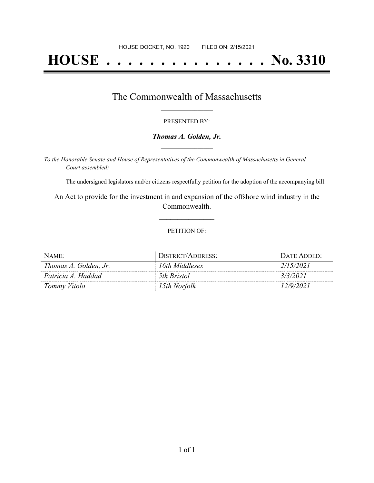# **HOUSE . . . . . . . . . . . . . . . No. 3310**

## The Commonwealth of Massachusetts **\_\_\_\_\_\_\_\_\_\_\_\_\_\_\_\_\_**

#### PRESENTED BY:

#### *Thomas A. Golden, Jr.* **\_\_\_\_\_\_\_\_\_\_\_\_\_\_\_\_\_**

*To the Honorable Senate and House of Representatives of the Commonwealth of Massachusetts in General Court assembled:*

The undersigned legislators and/or citizens respectfully petition for the adoption of the accompanying bill:

An Act to provide for the investment in and expansion of the offshore wind industry in the Commonwealth.

**\_\_\_\_\_\_\_\_\_\_\_\_\_\_\_**

#### PETITION OF:

| NAME:                 | DISTRICT/ADDRESS: | DATE ADDED: |
|-----------------------|-------------------|-------------|
| Thomas A. Golden, Jr. | 16th Middlesex    | 2/15/2021   |
| Patricia A. Haddad    | 5th Bristol       | 3/3/2021    |
| Tommy Vitolo          | 15th Norfolk      | 12/9/2021   |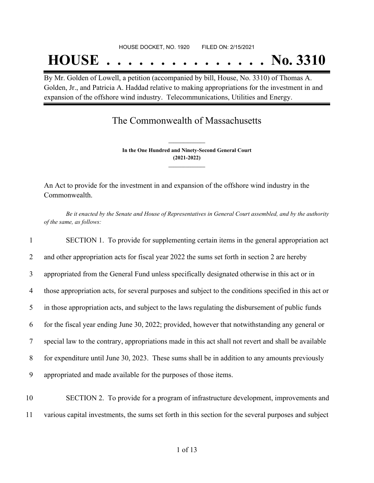#### HOUSE DOCKET, NO. 1920 FILED ON: 2/15/2021

## **HOUSE . . . . . . . . . . . . . . . No. 3310**

By Mr. Golden of Lowell, a petition (accompanied by bill, House, No. 3310) of Thomas A. Golden, Jr., and Patricia A. Haddad relative to making appropriations for the investment in and expansion of the offshore wind industry. Telecommunications, Utilities and Energy.

### The Commonwealth of Massachusetts

**In the One Hundred and Ninety-Second General Court (2021-2022) \_\_\_\_\_\_\_\_\_\_\_\_\_\_\_**

**\_\_\_\_\_\_\_\_\_\_\_\_\_\_\_**

An Act to provide for the investment in and expansion of the offshore wind industry in the Commonwealth.

Be it enacted by the Senate and House of Representatives in General Court assembled, and by the authority *of the same, as follows:*

 SECTION 1. To provide for supplementing certain items in the general appropriation act 2 and other appropriation acts for fiscal year 2022 the sums set forth in section 2 are hereby appropriated from the General Fund unless specifically designated otherwise in this act or in those appropriation acts, for several purposes and subject to the conditions specified in this act or in those appropriation acts, and subject to the laws regulating the disbursement of public funds for the fiscal year ending June 30, 2022; provided, however that notwithstanding any general or special law to the contrary, appropriations made in this act shall not revert and shall be available for expenditure until June 30, 2023. These sums shall be in addition to any amounts previously appropriated and made available for the purposes of those items.

10 SECTION 2. To provide for a program of infrastructure development, improvements and 11 various capital investments, the sums set forth in this section for the several purposes and subject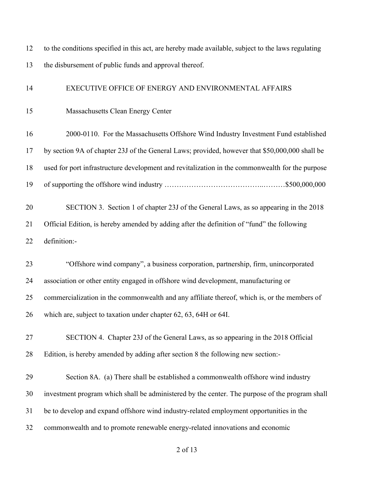to the conditions specified in this act, are hereby made available, subject to the laws regulating the disbursement of public funds and approval thereof. EXECUTIVE OFFICE OF ENERGY AND ENVIRONMENTAL AFFAIRS Massachusetts Clean Energy Center 2000-0110. For the Massachusetts Offshore Wind Industry Investment Fund established by section 9A of chapter 23J of the General Laws; provided, however that \$50,000,000 shall be used for port infrastructure development and revitalization in the commonwealth for the purpose of supporting the offshore wind industry …………………………………..………\$500,000,000 SECTION 3. Section 1 of chapter 23J of the General Laws, as so appearing in the 2018 Official Edition, is hereby amended by adding after the definition of "fund" the following definition:- "Offshore wind company", a business corporation, partnership, firm, unincorporated association or other entity engaged in offshore wind development, manufacturing or commercialization in the commonwealth and any affiliate thereof, which is, or the members of which are, subject to taxation under chapter 62, 63, 64H or 64I. SECTION 4. Chapter 23J of the General Laws, as so appearing in the 2018 Official Edition, is hereby amended by adding after section 8 the following new section:- Section 8A. (a) There shall be established a commonwealth offshore wind industry investment program which shall be administered by the center. The purpose of the program shall be to develop and expand offshore wind industry-related employment opportunities in the commonwealth and to promote renewable energy-related innovations and economic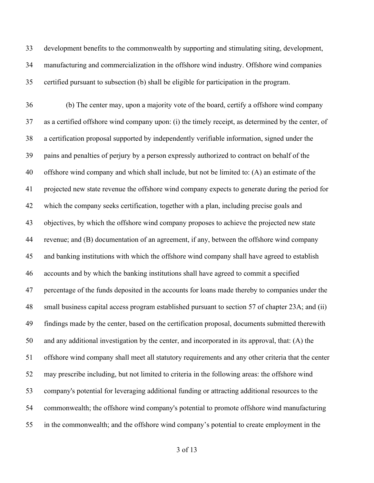development benefits to the commonwealth by supporting and stimulating siting, development, manufacturing and commercialization in the offshore wind industry. Offshore wind companies certified pursuant to subsection (b) shall be eligible for participation in the program.

 (b) The center may, upon a majority vote of the board, certify a offshore wind company as a certified offshore wind company upon: (i) the timely receipt, as determined by the center, of a certification proposal supported by independently verifiable information, signed under the pains and penalties of perjury by a person expressly authorized to contract on behalf of the offshore wind company and which shall include, but not be limited to: (A) an estimate of the projected new state revenue the offshore wind company expects to generate during the period for which the company seeks certification, together with a plan, including precise goals and objectives, by which the offshore wind company proposes to achieve the projected new state revenue; and (B) documentation of an agreement, if any, between the offshore wind company and banking institutions with which the offshore wind company shall have agreed to establish accounts and by which the banking institutions shall have agreed to commit a specified percentage of the funds deposited in the accounts for loans made thereby to companies under the small business capital access program established pursuant to section 57 of chapter 23A; and (ii) findings made by the center, based on the certification proposal, documents submitted therewith and any additional investigation by the center, and incorporated in its approval, that: (A) the offshore wind company shall meet all statutory requirements and any other criteria that the center may prescribe including, but not limited to criteria in the following areas: the offshore wind company's potential for leveraging additional funding or attracting additional resources to the commonwealth; the offshore wind company's potential to promote offshore wind manufacturing in the commonwealth; and the offshore wind company's potential to create employment in the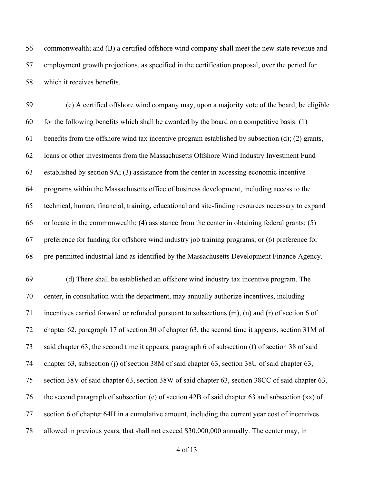commonwealth; and (B) a certified offshore wind company shall meet the new state revenue and employment growth projections, as specified in the certification proposal, over the period for which it receives benefits.

 (c) A certified offshore wind company may, upon a majority vote of the board, be eligible 60 for the following benefits which shall be awarded by the board on a competitive basis:  $(1)$  benefits from the offshore wind tax incentive program established by subsection (d); (2) grants, loans or other investments from the Massachusetts Offshore Wind Industry Investment Fund established by section 9A; (3) assistance from the center in accessing economic incentive programs within the Massachusetts office of business development, including access to the technical, human, financial, training, educational and site-finding resources necessary to expand 66 or locate in the commonwealth; (4) assistance from the center in obtaining federal grants;  $(5)$  preference for funding for offshore wind industry job training programs; or (6) preference for pre-permitted industrial land as identified by the Massachusetts Development Finance Agency.

 (d) There shall be established an offshore wind industry tax incentive program. The center, in consultation with the department, may annually authorize incentives, including incentives carried forward or refunded pursuant to subsections (m), (n) and (r) of section 6 of chapter 62, paragraph 17 of section 30 of chapter 63, the second time it appears, section 31M of said chapter 63, the second time it appears, paragraph 6 of subsection (f) of section 38 of said chapter 63, subsection (j) of section 38M of said chapter 63, section 38U of said chapter 63, section 38V of said chapter 63, section 38W of said chapter 63, section 38CC of said chapter 63, the second paragraph of subsection (c) of section 42B of said chapter 63 and subsection (xx) of section 6 of chapter 64H in a cumulative amount, including the current year cost of incentives allowed in previous years, that shall not exceed \$30,000,000 annually. The center may, in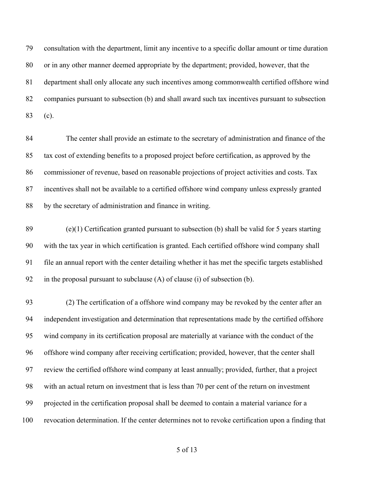consultation with the department, limit any incentive to a specific dollar amount or time duration or in any other manner deemed appropriate by the department; provided, however, that the department shall only allocate any such incentives among commonwealth certified offshore wind companies pursuant to subsection (b) and shall award such tax incentives pursuant to subsection (c).

 The center shall provide an estimate to the secretary of administration and finance of the tax cost of extending benefits to a proposed project before certification, as approved by the commissioner of revenue, based on reasonable projections of project activities and costs. Tax incentives shall not be available to a certified offshore wind company unless expressly granted by the secretary of administration and finance in writing.

89 (e)(1) Certification granted pursuant to subsection (b) shall be valid for 5 years starting with the tax year in which certification is granted. Each certified offshore wind company shall file an annual report with the center detailing whether it has met the specific targets established in the proposal pursuant to subclause (A) of clause (i) of subsection (b).

 (2) The certification of a offshore wind company may be revoked by the center after an independent investigation and determination that representations made by the certified offshore wind company in its certification proposal are materially at variance with the conduct of the offshore wind company after receiving certification; provided, however, that the center shall review the certified offshore wind company at least annually; provided, further, that a project with an actual return on investment that is less than 70 per cent of the return on investment projected in the certification proposal shall be deemed to contain a material variance for a revocation determination. If the center determines not to revoke certification upon a finding that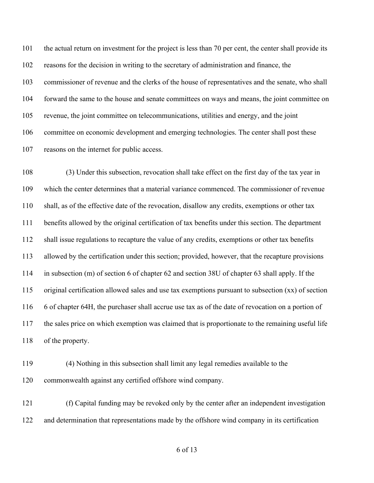the actual return on investment for the project is less than 70 per cent, the center shall provide its reasons for the decision in writing to the secretary of administration and finance, the commissioner of revenue and the clerks of the house of representatives and the senate, who shall forward the same to the house and senate committees on ways and means, the joint committee on revenue, the joint committee on telecommunications, utilities and energy, and the joint committee on economic development and emerging technologies. The center shall post these reasons on the internet for public access.

 (3) Under this subsection, revocation shall take effect on the first day of the tax year in which the center determines that a material variance commenced. The commissioner of revenue shall, as of the effective date of the revocation, disallow any credits, exemptions or other tax benefits allowed by the original certification of tax benefits under this section. The department shall issue regulations to recapture the value of any credits, exemptions or other tax benefits allowed by the certification under this section; provided, however, that the recapture provisions in subsection (m) of section 6 of chapter 62 and section 38U of chapter 63 shall apply. If the original certification allowed sales and use tax exemptions pursuant to subsection (xx) of section 6 of chapter 64H, the purchaser shall accrue use tax as of the date of revocation on a portion of the sales price on which exemption was claimed that is proportionate to the remaining useful life of the property.

 (4) Nothing in this subsection shall limit any legal remedies available to the commonwealth against any certified offshore wind company.

 (f) Capital funding may be revoked only by the center after an independent investigation and determination that representations made by the offshore wind company in its certification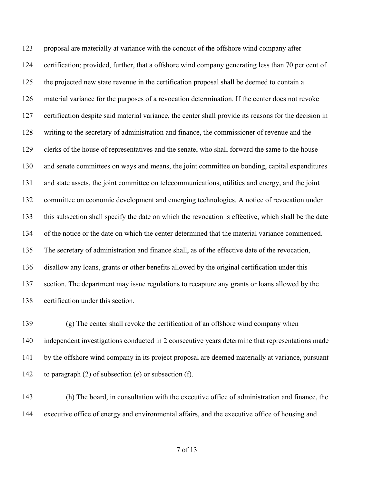proposal are materially at variance with the conduct of the offshore wind company after certification; provided, further, that a offshore wind company generating less than 70 per cent of the projected new state revenue in the certification proposal shall be deemed to contain a material variance for the purposes of a revocation determination. If the center does not revoke certification despite said material variance, the center shall provide its reasons for the decision in writing to the secretary of administration and finance, the commissioner of revenue and the clerks of the house of representatives and the senate, who shall forward the same to the house and senate committees on ways and means, the joint committee on bonding, capital expenditures and state assets, the joint committee on telecommunications, utilities and energy, and the joint committee on economic development and emerging technologies. A notice of revocation under this subsection shall specify the date on which the revocation is effective, which shall be the date of the notice or the date on which the center determined that the material variance commenced. The secretary of administration and finance shall, as of the effective date of the revocation, disallow any loans, grants or other benefits allowed by the original certification under this 137 section. The department may issue regulations to recapture any grants or loans allowed by the certification under this section.

 (g) The center shall revoke the certification of an offshore wind company when independent investigations conducted in 2 consecutive years determine that representations made by the offshore wind company in its project proposal are deemed materially at variance, pursuant to paragraph (2) of subsection (e) or subsection (f).

 (h) The board, in consultation with the executive office of administration and finance, the executive office of energy and environmental affairs, and the executive office of housing and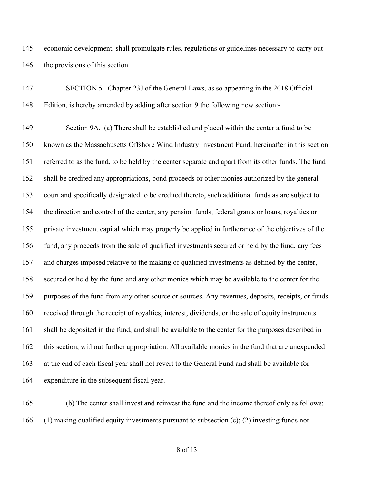economic development, shall promulgate rules, regulations or guidelines necessary to carry out 146 the provisions of this section.

| 147 | SECTION 5. Chapter 23J of the General Laws, as so appearing in the 2018 Official                    |
|-----|-----------------------------------------------------------------------------------------------------|
| 148 | Edition, is hereby amended by adding after section 9 the following new section:-                    |
| 149 | Section 9A. (a) There shall be established and placed within the center a fund to be                |
| 150 | known as the Massachusetts Offshore Wind Industry Investment Fund, hereinafter in this section      |
| 151 | referred to as the fund, to be held by the center separate and apart from its other funds. The fund |
| 152 | shall be credited any appropriations, bond proceeds or other monies authorized by the general       |
| 153 | court and specifically designated to be credited thereto, such additional funds as are subject to   |
| 154 | the direction and control of the center, any pension funds, federal grants or loans, royalties or   |
| 155 | private investment capital which may properly be applied in furtherance of the objectives of the    |
| 156 | fund, any proceeds from the sale of qualified investments secured or held by the fund, any fees     |
| 157 | and charges imposed relative to the making of qualified investments as defined by the center,       |
| 158 | secured or held by the fund and any other monies which may be available to the center for the       |
| 159 | purposes of the fund from any other source or sources. Any revenues, deposits, receipts, or funds   |
| 160 | received through the receipt of royalties, interest, dividends, or the sale of equity instruments   |
| 161 | shall be deposited in the fund, and shall be available to the center for the purposes described in  |
| 162 | this section, without further appropriation. All available monies in the fund that are unexpended   |
| 163 | at the end of each fiscal year shall not revert to the General Fund and shall be available for      |
| 164 | expenditure in the subsequent fiscal year.                                                          |
|     |                                                                                                     |

 (b) The center shall invest and reinvest the fund and the income thereof only as follows: (1) making qualified equity investments pursuant to subsection (c); (2) investing funds not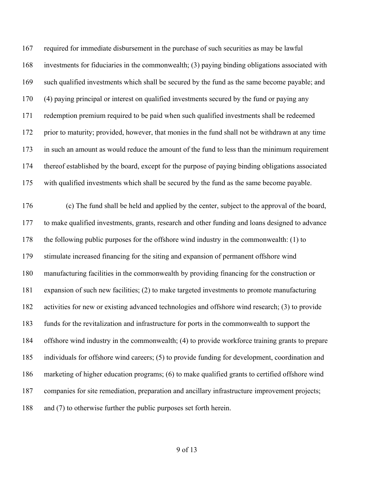required for immediate disbursement in the purchase of such securities as may be lawful investments for fiduciaries in the commonwealth; (3) paying binding obligations associated with such qualified investments which shall be secured by the fund as the same become payable; and (4) paying principal or interest on qualified investments secured by the fund or paying any redemption premium required to be paid when such qualified investments shall be redeemed prior to maturity; provided, however, that monies in the fund shall not be withdrawn at any time in such an amount as would reduce the amount of the fund to less than the minimum requirement thereof established by the board, except for the purpose of paying binding obligations associated with qualified investments which shall be secured by the fund as the same become payable.

 (c) The fund shall be held and applied by the center, subject to the approval of the board, to make qualified investments, grants, research and other funding and loans designed to advance the following public purposes for the offshore wind industry in the commonwealth: (1) to stimulate increased financing for the siting and expansion of permanent offshore wind manufacturing facilities in the commonwealth by providing financing for the construction or expansion of such new facilities; (2) to make targeted investments to promote manufacturing activities for new or existing advanced technologies and offshore wind research; (3) to provide funds for the revitalization and infrastructure for ports in the commonwealth to support the offshore wind industry in the commonwealth; (4) to provide workforce training grants to prepare individuals for offshore wind careers; (5) to provide funding for development, coordination and marketing of higher education programs; (6) to make qualified grants to certified offshore wind 187 companies for site remediation, preparation and ancillary infrastructure improvement projects; 188 and (7) to otherwise further the public purposes set forth herein.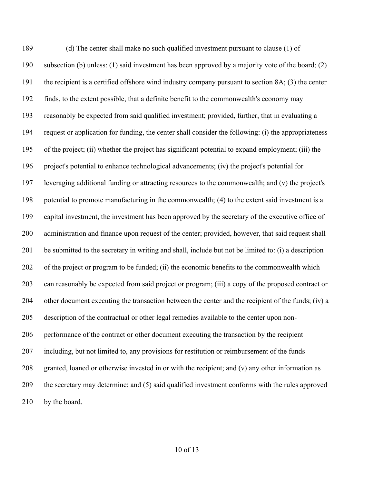(d) The center shall make no such qualified investment pursuant to clause (1) of subsection (b) unless: (1) said investment has been approved by a majority vote of the board; (2) the recipient is a certified offshore wind industry company pursuant to section 8A; (3) the center finds, to the extent possible, that a definite benefit to the commonwealth's economy may reasonably be expected from said qualified investment; provided, further, that in evaluating a request or application for funding, the center shall consider the following: (i) the appropriateness of the project; (ii) whether the project has significant potential to expand employment; (iii) the project's potential to enhance technological advancements; (iv) the project's potential for leveraging additional funding or attracting resources to the commonwealth; and (v) the project's potential to promote manufacturing in the commonwealth; (4) to the extent said investment is a capital investment, the investment has been approved by the secretary of the executive office of administration and finance upon request of the center; provided, however, that said request shall be submitted to the secretary in writing and shall, include but not be limited to: (i) a description of the project or program to be funded; (ii) the economic benefits to the commonwealth which can reasonably be expected from said project or program; (iii) a copy of the proposed contract or other document executing the transaction between the center and the recipient of the funds; (iv) a description of the contractual or other legal remedies available to the center upon non- performance of the contract or other document executing the transaction by the recipient including, but not limited to, any provisions for restitution or reimbursement of the funds granted, loaned or otherwise invested in or with the recipient; and (v) any other information as the secretary may determine; and (5) said qualified investment conforms with the rules approved 210 by the board.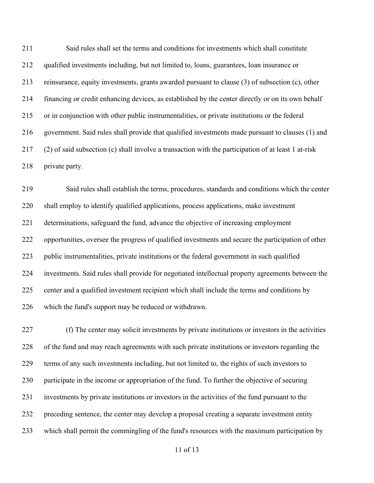Said rules shall set the terms and conditions for investments which shall constitute qualified investments including, but not limited to, loans, guarantees, loan insurance or reinsurance, equity investments, grants awarded pursuant to clause (3) of subsection (c), other financing or credit enhancing devices, as established by the center directly or on its own behalf or in conjunction with other public instrumentalities, or private institutions or the federal government. Said rules shall provide that qualified investments made pursuant to clauses (1) and (2) of said subsection (c) shall involve a transaction with the participation of at least 1 at-risk private party.

 Said rules shall establish the terms, procedures, standards and conditions which the center shall employ to identify qualified applications, process applications, make investment determinations, safeguard the fund, advance the objective of increasing employment opportunities, oversee the progress of qualified investments and secure the participation of other public instrumentalities, private institutions or the federal government in such qualified investments. Said rules shall provide for negotiated intellectual property agreements between the center and a qualified investment recipient which shall include the terms and conditions by which the fund's support may be reduced or withdrawn.

 (f) The center may solicit investments by private institutions or investors in the activities of the fund and may reach agreements with such private institutions or investors regarding the terms of any such investments including, but not limited to, the rights of such investors to participate in the income or appropriation of the fund. To further the objective of securing investments by private institutions or investors in the activities of the fund pursuant to the preceding sentence, the center may develop a proposal creating a separate investment entity which shall permit the commingling of the fund's resources with the maximum participation by

```
11 of 13
```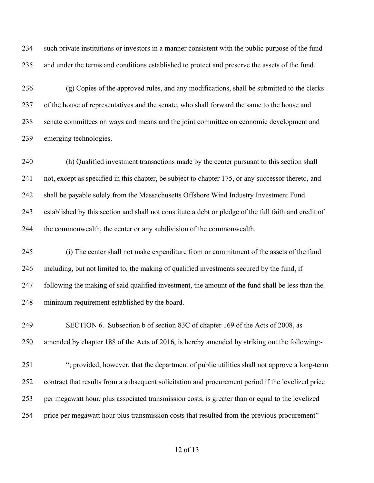such private institutions or investors in a manner consistent with the public purpose of the fund and under the terms and conditions established to protect and preserve the assets of the fund.

 (g) Copies of the approved rules, and any modifications, shall be submitted to the clerks of the house of representatives and the senate, who shall forward the same to the house and senate committees on ways and means and the joint committee on economic development and emerging technologies.

 (h) Qualified investment transactions made by the center pursuant to this section shall not, except as specified in this chapter, be subject to chapter 175, or any successor thereto, and shall be payable solely from the Massachusetts Offshore Wind Industry Investment Fund established by this section and shall not constitute a debt or pledge of the full faith and credit of the commonwealth, the center or any subdivision of the commonwealth.

 (i) The center shall not make expenditure from or commitment of the assets of the fund including, but not limited to, the making of qualified investments secured by the fund, if following the making of said qualified investment, the amount of the fund shall be less than the minimum requirement established by the board.

 SECTION 6. Subsection b of section 83C of chapter 169 of the Acts of 2008, as amended by chapter 188 of the Acts of 2016, is hereby amended by striking out the following:-

 "; provided, however, that the department of public utilities shall not approve a long-term contract that results from a subsequent solicitation and procurement period if the levelized price per megawatt hour, plus associated transmission costs, is greater than or equal to the levelized price per megawatt hour plus transmission costs that resulted from the previous procurement"